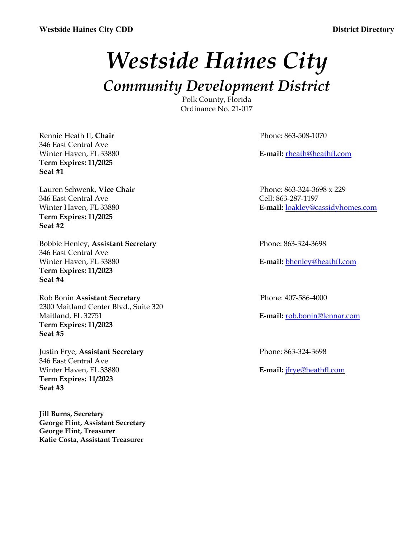# *Westside Haines City*

*Community Development District*

Polk County, Florida Ordinance No. 21-017

Rennie Heath II, **Chair** Phone: 863-508-1070 346 East Central Ave **Term Expires: 11/2025 Seat #1**

Lauren Schwenk, **Vice Chair** Phone: 863-324-3698 x 229 346 East Central Ave Cell: 863-287-1197 **Term Expires: 11/2025 Seat #2**

Bobbie Henley, **Assistant Secretary** Phone: 863-324-3698 346 East Central Ave Winter Haven, FL 33880 **E-mail:** bhenley@heathfl.com **Term Expires: 11/2023 Seat #4**

Rob Bonin **Assistant Secretary** Phone: 407-586-4000 2300 Maitland Center Blvd., Suite 320 Maitland, FL 32751 **E-mail:** rob.bonin@lennar.com **Term Expires: 11/2023 Seat #5**

Justin Frye, **Assistant Secretary** Phone: 863-324-3698 346 East Central Ave Winter Haven, FL 33880 **E-mail:** jfrye@heathfl.com **Term Expires: 11/2023 Seat #3**

**Jill Burns, Secretary George Flint, Assistant Secretary George Flint, Treasurer Katie Costa, Assistant Treasurer**

Winter Haven, FL 33880 **E-mail:** rheath@heathfl.com

Winter Haven, FL 33880 **E-mail:** loakley@cassidyhomes.com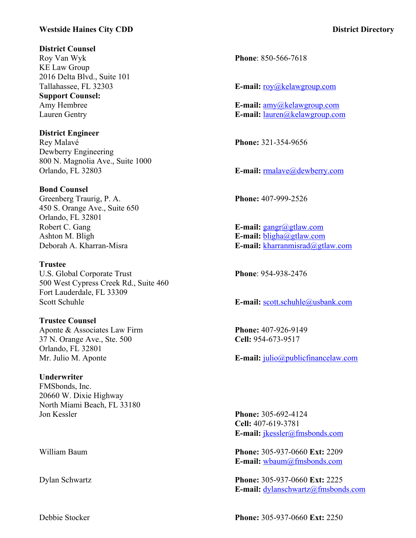# **Westside Haines City CDD District Directory**

#### **District Counsel**

Roy Van Wyk **Phone**: 850-566-7618 KE Law Group 2016 Delta Blvd., Suite 101 **Support Counsel:**

**District Engineer** Rey Malavé **Phone:** 321-354-9656 Dewberry Engineering 800 N. Magnolia Ave., Suite 1000 Orlando, FL 32803 **E-mail:** respectively compared to the E-mail: respectively compared to E-mail: respectively compared to E-mail: respectively compared to E-mail: respectively compared to E-mail: respectively compared to

### **Bond Counsel**

Greenberg Traurig, P. A. **Phone:** 407-999-2526 450 S. Orange Ave., Suite 650 Orlando, FL 32801 Robert C. Gang **E**-mail: gangr@gtlaw.com Ashton M. Bligh **E-mail:** bligha@gtlaw.com

**Trustee** U.S. Global Corporate Trust **Phone**: 954-938-2476 500 West Cypress Creek Rd., Suite 460 Fort Lauderdale, FL 33309

**Trustee Counsel** Aponte & Associates Law Firm **Phone:** 407-926-9149 37 N. Orange Ave., Ste. 500 **Cell:** 954-673-9517 Orlando, FL 32801

**Underwriter** FMSbonds, Inc. 20660 W. Dixie Highway North Miami Beach, FL 33180

Tallahassee, FL 32303 **E-mail:** roy@kelawgroup.com

Amy Hembree **E-mail:** amy@kelawgroup.com Lauren Gentry **E-mail:** lauren@kelawgroup.com

Deborah A. Kharran-Misra **E-mail:** kharranmisrad@gtlaw.com

Scott Schuhle **E-mail:** scott.schuhle@usbank.com

Mr. Julio M. Aponte **E-mail:** julio@publicfinancelaw.com

Jon Kessler **Phone:** 305-692-4124 **Cell:** 407-619-3781 **E-mail:** jkessler@fmsbonds.com

William Baum **Phone:** 305-937-0660 **Ext:** 2209 **E-mail:** wbaum@fmsbonds.com

Dylan Schwartz **Phone:** 305-937-0660 **Ext:** 2225 **E-mail:** dylanschwartz@fmsbonds.com

Debbie Stocker **Phone:** 305-937-0660 **Ext:** 2250